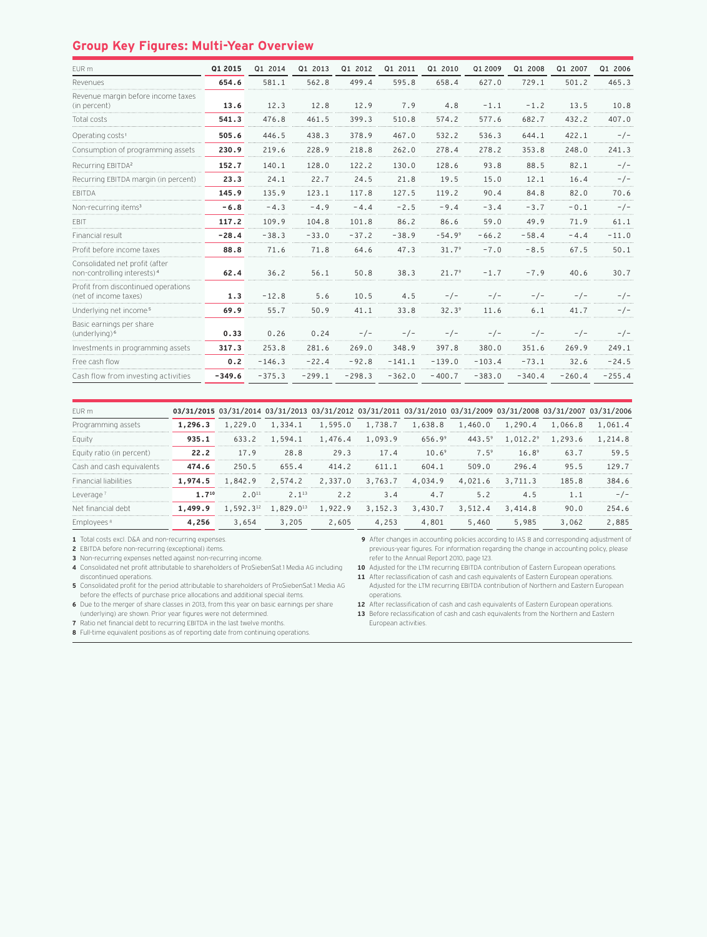## **Group Key Figures: Multi-Year Overview**

| EUR m                                                                     | Q1 2015  | Q1 2014  | Q1 2013  | Q1 2012  | Q1 2011  | Q1 2010           | Q1 2009  | Q1 2008  | Q1 2007  | Q1 2006  |
|---------------------------------------------------------------------------|----------|----------|----------|----------|----------|-------------------|----------|----------|----------|----------|
| Revenues                                                                  | 654.6    | 581.1    | 562.8    | 499.4    | 595.8    | 658.4             | 627.0    | 729.1    | 501.2    | 465.3    |
| Revenue margin before income taxes<br>(in percent)                        | 13.6     | 12.3     | 12.8     | 12.9     | 7.9      | 4.8               | $-1.1$   | $-1.2$   | 13.5     | 10.8     |
| Total costs                                                               | 541.3    | 476.8    | 461.5    | 399.3    | 510.8    | 574.2             | 577.6    | 682.7    | 432.2    | 407.0    |
| Operating costs <sup>1</sup>                                              | 505.6    | 446.5    | 438.3    | 378.9    | 467.0    | 532.2             | 536.3    | 644.1    | 422.1    | $-/-$    |
| Consumption of programming assets                                         | 230.9    | 219.6    | 228.9    | 218.8    | 262.0    | 278.4             | 278.2    | 353.8    | 248.0    | 241.3    |
| Recurring EBITDA <sup>2</sup>                                             | 152.7    | 140.1    | 128.0    | 122.2    | 130.0    | 128.6             | 93.8     | 88.5     | 82.1     | $-/-$    |
| Recurring EBITDA margin (in percent)                                      | 23.3     | 24.1     | 22.7     | 24.5     | 21.8     | 19.5              | 15.0     | 12.1     | 16.4     | $-/-$    |
| <b>FBITDA</b>                                                             | 145.9    | 135.9    | 123.1    | 117.8    | 127.5    | 119.2             | 90.4     | 84.8     | 82.0     | 70.6     |
| Non-recurring items <sup>3</sup>                                          | $-6.8$   | $-4.3$   | $-4.9$   | $-4.4$   | $-2.5$   | $-9.4$            | $-3.4$   | $-3.7$   | $-0.1$   | $-/-$    |
| <b>FBIT</b>                                                               | 117.2    | 109.9    | 104.8    | 101.8    | 86.2     | 86.6              | 59.0     | 49.9     | 71.9     | 61.1     |
| Financial result                                                          | $-28.4$  | $-38.3$  | $-33.0$  | $-37.2$  | $-38.9$  | $-54.99$          | $-66.2$  | $-58.4$  | $-4.4$   | $-11.0$  |
| Profit before income taxes                                                | 88.8     | 71.6     | 71.8     | 64.6     | 47.3     | 31.7 <sup>9</sup> | $-7.0$   | $-8.5$   | 67.5     | 50.1     |
| Consolidated net profit (after<br>non-controlling interests) <sup>4</sup> | 62.4     | 36.2     | 56.1     | 50.8     | 38.3     | 21.79             | $-1.7$   | $-7.9$   | 40.6     | 30.7     |
| Profit from discontinued operations<br>(net of income taxes)              | 1.3      | $-12.8$  | 5.6      | 10.5     | 4.5      | $-/-$             | $-/-$    | $-/-$    | $-/-$    | $-/-$    |
| Underlying net income <sup>5</sup>                                        | 69.9     | 55.7     | 50.9     | 41.1     | 33.8     | 32.3 <sup>9</sup> | 11.6     | 6.1      | 41.7     | $-/-$    |
| Basic earnings per share<br>(underlying) <sup>6</sup>                     | 0.33     | 0.26     | 0.24     | $-/-$    | $-/-$    | $-/-$             | $-/-$    | $-/-$    | $-/-$    | $-/-$    |
| Investments in programming assets                                         | 317.3    | 253.8    | 281.6    | 269.0    | 348.9    | 397.8             | 380.0    | 351.6    | 269.9    | 249.1    |
| Free cash flow                                                            | 0.2      | $-146.3$ | $-22.4$  | $-92.8$  | $-141.1$ | $-139.0$          | $-103.4$ | $-73.1$  | 32.6     | $-24.5$  |
| Cash flow from investing activities                                       | $-349.6$ | $-375.3$ | $-299.1$ | $-298.3$ | $-362.0$ | $-400.7$          | $-383.0$ | $-340.4$ | $-260.4$ | $-255.4$ |

| FUR m                        |            |            |                  |                 |           | 03/31/2015 03/31/2014 03/31/2013 03/31/2012 03/31/2011 03/31/2010 03/31/2009 03/31/2008 03/31/2007 03/31/2006 |               |          |                 |         |
|------------------------------|------------|------------|------------------|-----------------|-----------|---------------------------------------------------------------------------------------------------------------|---------------|----------|-----------------|---------|
| Programming assets           | 1.296.3    | 1,229.0    |                  |                 |           | 1,334.1 1,595.0 1,738.7 1,638.8 1,460.0                                                                       |               | 1,290.4  | 1,066.8         | 1,061.4 |
| Eauity                       | 935.1      | 633.2      |                  |                 |           | $1.594.1$ $1.476.4$ $1.093.9$ $656.9^9$                                                                       | $443.5^9$     | 1,012.29 | 1,293.6 1,214.8 |         |
| Equity ratio (in percent)    | 22.2       | 17.9       | 28.8             |                 | 29.3 17.4 | 10.6 <sup>9</sup>                                                                                             | $7.5^{\circ}$ | $16.8^9$ | 63.7            | 59.5    |
| Cash and cash equivalents    | 474.6      | 250.5      | 655.4            | 414.2           | 611.1     | 604.1                                                                                                         | 509.0         | 296.4    | 95.5            | 129.7   |
| <b>Financial liabilities</b> | 1.974.5    | 1.842.9    |                  | 2,574.2 2,337.0 | 3,763.7   | 4,034.9                                                                                                       | 4,021.6       | 3,711.3  | 185.8           | 384.6   |
| Leverage                     | $1.7^{10}$ | $2.0^{11}$ | $2 \cdot 1^{13}$ |                 | 2.2 3.4   | 4.7                                                                                                           | 5.2           | 4.5      | $1 \quad 1$     |         |
| Net financial debt           | 1,499.9    |            |                  |                 |           | $1.592.3^{12}$ $1.829.0^{13}$ $1.922.9$ $3.152.3$ $3.430.7$                                                   | 3,512.4       | 3,414.8  | 90.0            | 254.6   |
| Employees ·                  | 4.256      | 3,654      | 3,205            | 2,605           | 4,253     | 4,801                                                                                                         | 5,460         | 5,985    | 3,062           | 2,885   |

**1** Total costs excl. D&A and non-recurring expenses.

**2** EBITDA before non-recurring (exceptional) items.

**3** Non-recurring expenses netted against non-recurring income.

**4** Consolidated net profit attributable to shareholders of ProSiebenSat.1 Media AG including discontinued operations.

**5** Consolidated profit for the period attributable to shareholders of ProSiebenSat.1 Media AG before the effects of purchase price allocations and additional special items.

**6** Due to the merger of share classes in 2013, from this year on basic earnings per share (underlying) are shown. Prior year figures were not determined.

**7** Ratio net financial debt to recurring EBITDA in the last twelve months.

**8** Full-time equivalent positions as of reporting date from continuing operations.

**9** After changes in accounting policies according to IAS 8 and corresponding adjustment of previous-year figures. For information regarding the change in accounting policy, please refer to the Annual Report 2010, page 123.

**10** Adjusted for the LTM recurring EBITDA contribution of Eastern European operations.

**11** After reclassification of cash and cash equivalents of Eastern European operations. Adjusted for the LTM recurring EBITDA contribution of Northern and Eastern European operations.

**12** After reclassification of cash and cash equivalents of Eastern European operations.

- **13** Before reclassification of cash and cash equivalents from the Northern and Eastern
- European activities.